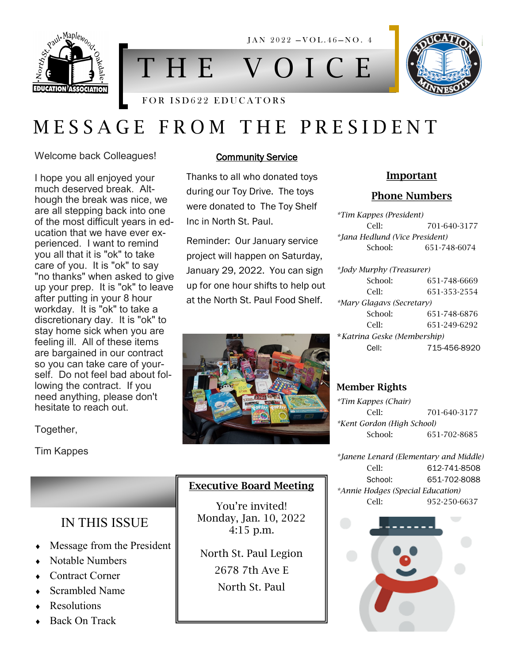

T H E V O I C E

 $JAN$  2022  $-VOL.46-NO.4$ 

# FOR ISD622 EDUCATORS

# M E S S A G E F R O M T H E P R E S I D E N T

Welcome back Colleagues!

I hope you all enjoyed your much deserved break. Although the break was nice, we are all stepping back into one of the most difficult years in education that we have ever experienced. I want to remind you all that it is "ok" to take care of you. It is "ok" to say "no thanks" when asked to give up your prep. It is "ok" to leave after putting in your 8 hour workday. It is "ok" to take a discretionary day. It is "ok" to stay home sick when you are feeling ill. All of these items are bargained in our contract so you can take care of yourself. Do not feel bad about following the contract. If you need anything, please don't hesitate to reach out.

IN THIS ISSUE

• Message from the President

 Notable Numbers Contract Corner Scrambled Name

 Resolutions Back On Track

Together,

Tim Kappes

### **Community Service**

Thanks to all who donated toys during our Toy Drive. The toys were donated to The Toy Shelf Inc in North St. Paul.

Reminder: Our January service project will happen on Saturday, January 29, 2022. You can sign up for one hour shifts to help out at the North St. Paul Food Shelf.



# Executive Board Meeting

You're invited! Monday, Jan. 10, 2022 4:15 p.m.

North St. Paul Legion 2678 7th Ave E North St. Paul

# Important

## Phone Numbers

*\*Tim Kappes (President)* Cell: 701-640-3177 *\*Jana Hedlund (Vice President)* School: 651-748-6074

*\*Jody Murphy (Treasurer)* School: 651-748-6669 Cell: 651-353-2554 *\*Mary Glagavs (Secretary)* School: 651-748-6876 Cell: 651-249-6292 \**Katrina Geske (Membership)* Cell: 715-456-8920

# Member Rights

*\*Tim Kappes (Chair)* Cell: 701-640-3177 *\*Kent Gordon (High School)* School: 651-702-8685

*\*Janene Lenard (Elementary and Middle)* Cell: 612-741-8508 School: 651-702-8088 *\*Annie Hodges (Special Education)* Cell: 952-250-6637